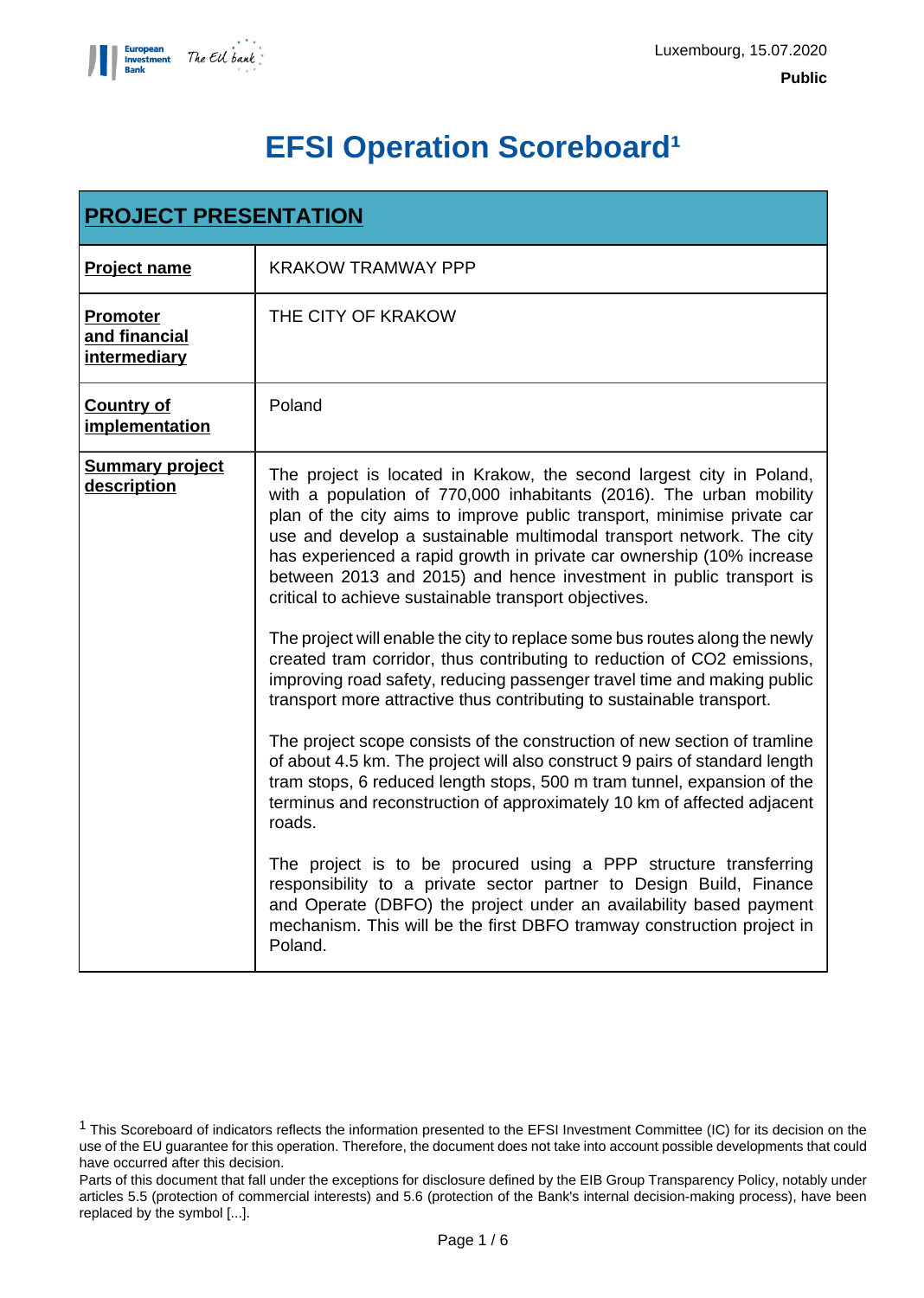

# **EFSI Operation Scoreboard<sup>1</sup>**

| <b>PROJECT PRESENTATION</b>                      |                                                                                                                                                                                                                                                                                                                                                                                                                                                                                                        |
|--------------------------------------------------|--------------------------------------------------------------------------------------------------------------------------------------------------------------------------------------------------------------------------------------------------------------------------------------------------------------------------------------------------------------------------------------------------------------------------------------------------------------------------------------------------------|
| <b>Project name</b>                              | <b>KRAKOW TRAMWAY PPP</b>                                                                                                                                                                                                                                                                                                                                                                                                                                                                              |
| <b>Promoter</b><br>and financial<br>intermediary | THE CITY OF KRAKOW                                                                                                                                                                                                                                                                                                                                                                                                                                                                                     |
| <b>Country of</b><br>implementation              | Poland                                                                                                                                                                                                                                                                                                                                                                                                                                                                                                 |
| <b>Summary project</b><br>description            | The project is located in Krakow, the second largest city in Poland,<br>with a population of 770,000 inhabitants (2016). The urban mobility<br>plan of the city aims to improve public transport, minimise private car<br>use and develop a sustainable multimodal transport network. The city<br>has experienced a rapid growth in private car ownership (10% increase<br>between 2013 and 2015) and hence investment in public transport is<br>critical to achieve sustainable transport objectives. |
|                                                  | The project will enable the city to replace some bus routes along the newly<br>created tram corridor, thus contributing to reduction of CO2 emissions,<br>improving road safety, reducing passenger travel time and making public<br>transport more attractive thus contributing to sustainable transport.                                                                                                                                                                                             |
|                                                  | The project scope consists of the construction of new section of tramline<br>of about 4.5 km. The project will also construct 9 pairs of standard length<br>tram stops, 6 reduced length stops, 500 m tram tunnel, expansion of the<br>terminus and reconstruction of approximately 10 km of affected adjacent<br>roads.                                                                                                                                                                               |
|                                                  | The project is to be procured using a PPP structure transferring<br>responsibility to a private sector partner to Design Build, Finance<br>and Operate (DBFO) the project under an availability based payment<br>mechanism. This will be the first DBFO tramway construction project in<br>Poland.                                                                                                                                                                                                     |

<sup>1</sup> This Scoreboard of indicators reflects the information presented to the EFSI Investment Committee (IC) for its decision on the use of the EU guarantee for this operation. Therefore, the document does not take into account possible developments that could have occurred after this decision.

Parts of this document that fall under the exceptions for disclosure defined by the EIB Group Transparency Policy, notably under articles 5.5 (protection of commercial interests) and 5.6 (protection of the Bank's internal decision-making process), have been replaced by the symbol [...].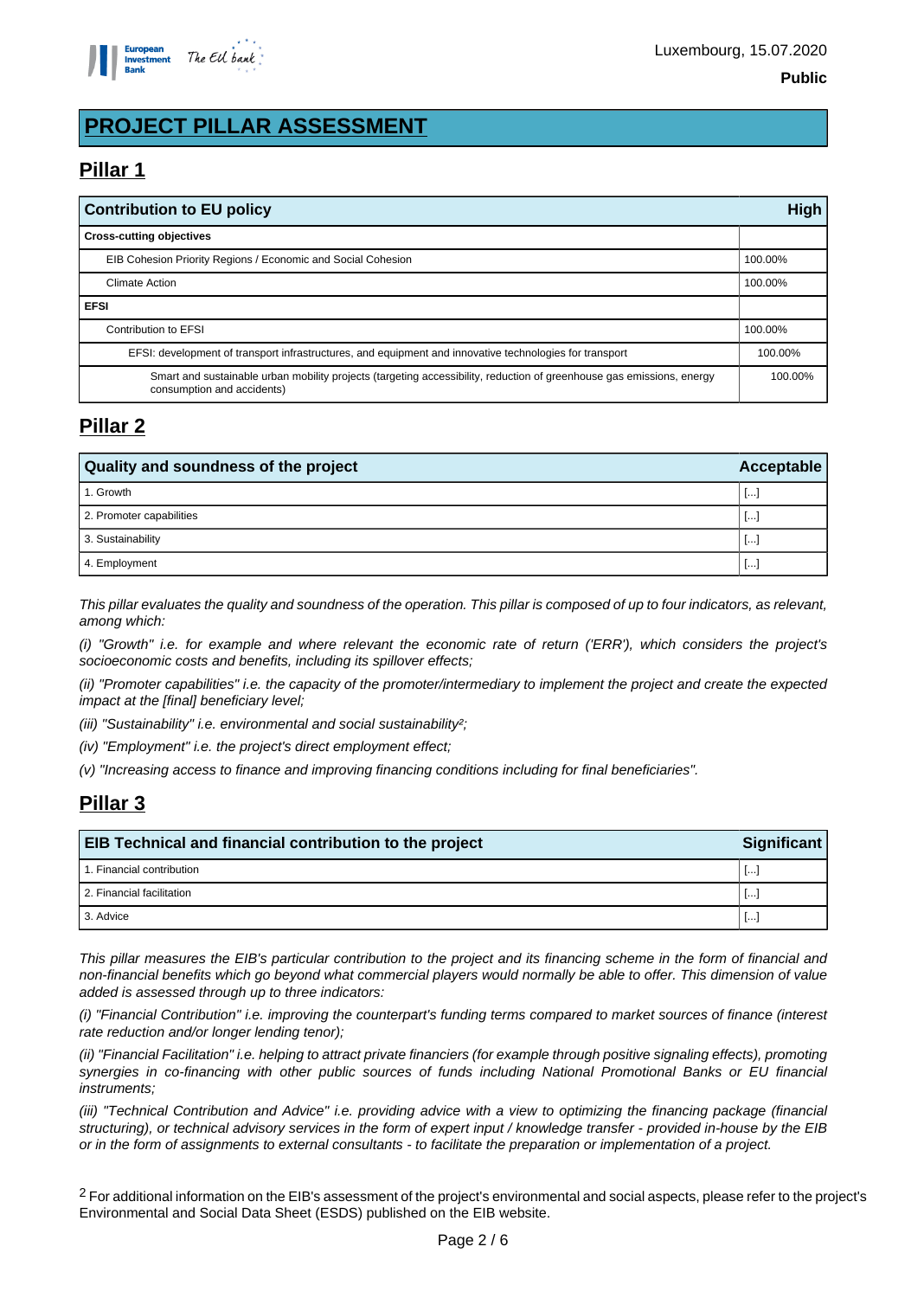

# **PROJECT PILLAR ASSESSMENT**

# **Pillar 1**

| <b>Contribution to EU policy</b>                                                                                                                    |  |  |
|-----------------------------------------------------------------------------------------------------------------------------------------------------|--|--|
| <b>Cross-cutting objectives</b>                                                                                                                     |  |  |
| EIB Cohesion Priority Regions / Economic and Social Cohesion                                                                                        |  |  |
| <b>Climate Action</b>                                                                                                                               |  |  |
| <b>EFSI</b>                                                                                                                                         |  |  |
| Contribution to EFSI                                                                                                                                |  |  |
| EFSI: development of transport infrastructures, and equipment and innovative technologies for transport                                             |  |  |
| Smart and sustainable urban mobility projects (targeting accessibility, reduction of greenhouse gas emissions, energy<br>consumption and accidents) |  |  |

#### **Pillar 2**

| Quality and soundness of the project | Acceptable   |
|--------------------------------------|--------------|
| 1. Growth                            | lm.          |
| 2. Promoter capabilities             | $\cdots$     |
| 3. Sustainability                    | $\cdots$     |
| 4. Employment                        | $\mathbf{L}$ |

This pillar evaluates the quality and soundness of the operation. This pillar is composed of up to four indicators, as relevant, among which:

(i) "Growth" i.e. for example and where relevant the economic rate of return ('ERR'), which considers the project's socioeconomic costs and benefits, including its spillover effects;

(ii) "Promoter capabilities" i.e. the capacity of the promoter/intermediary to implement the project and create the expected impact at the [final] beneficiary level;

(iii) "Sustainability" i.e. environmental and social sustainability<sup>2</sup>;

(iv) "Employment" i.e. the project's direct employment effect;

(v) "Increasing access to finance and improving financing conditions including for final beneficiaries".

## **Pillar 3**

| <b>EIB Technical and financial contribution to the project</b><br><b>Significant</b> |                          |  |
|--------------------------------------------------------------------------------------|--------------------------|--|
| 1. Financial contribution                                                            | $\lfloor \cdots \rfloor$ |  |
| 2. Financial facilitation                                                            | l.                       |  |
| 3. Advice                                                                            | $\lfloor \cdots \rfloor$ |  |

This pillar measures the EIB's particular contribution to the project and its financing scheme in the form of financial and non-financial benefits which go beyond what commercial players would normally be able to offer. This dimension of value added is assessed through up to three indicators:

(i) "Financial Contribution" i.e. improving the counterpart's funding terms compared to market sources of finance (interest rate reduction and/or longer lending tenor);

(ii) "Financial Facilitation" i.e. helping to attract private financiers (for example through positive signaling effects), promoting synergies in co-financing with other public sources of funds including National Promotional Banks or EU financial instruments;

(iii) "Technical Contribution and Advice" i.e. providing advice with a view to optimizing the financing package (financial structuring), or technical advisory services in the form of expert input / knowledge transfer - provided in-house by the EIB or in the form of assignments to external consultants - to facilitate the preparation or implementation of a project.

<sup>2</sup> For additional information on the EIB's assessment of the project's environmental and social aspects, please refer to the project's Environmental and Social Data Sheet (ESDS) published on the EIB website.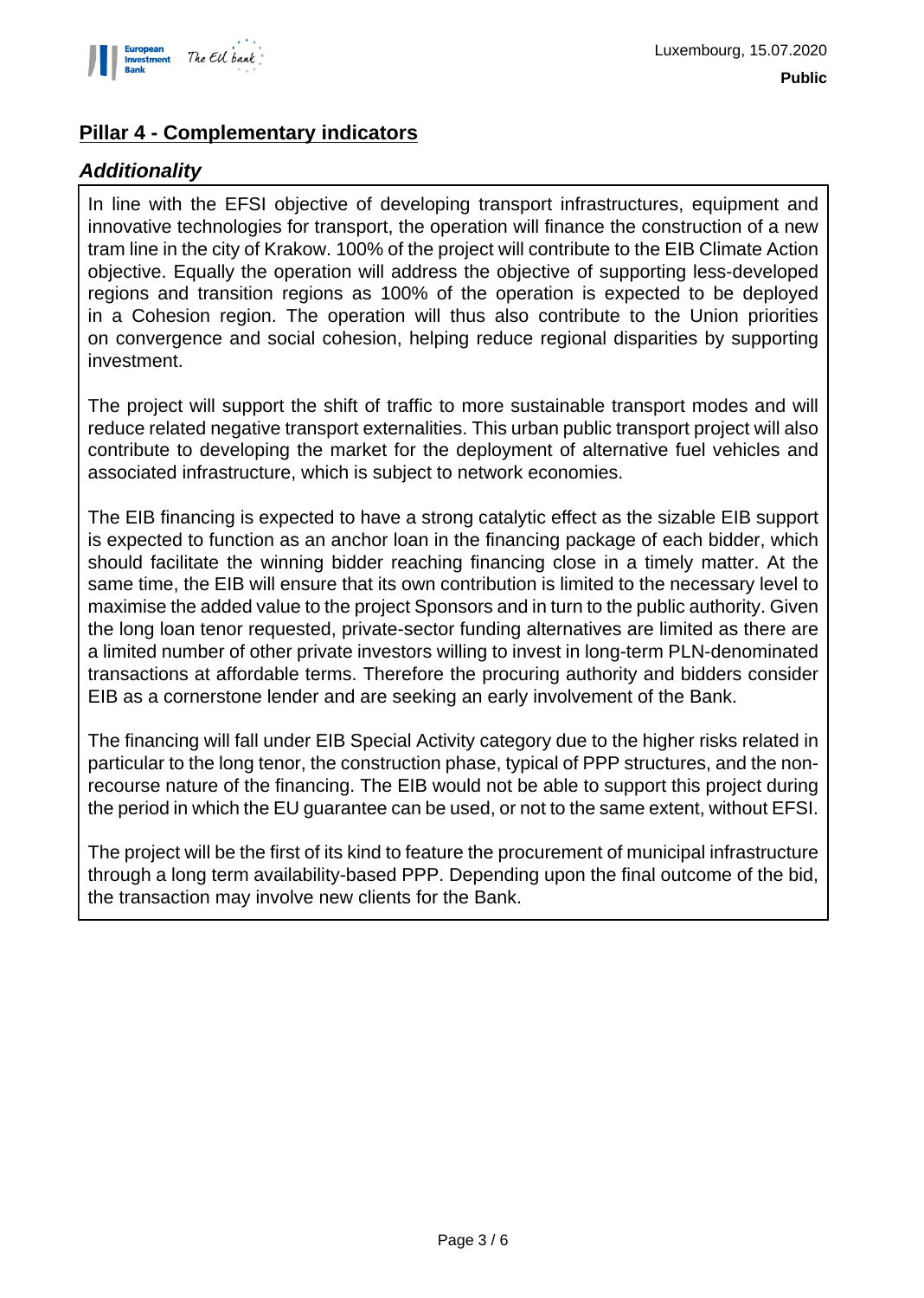

## **Pillar 4 - Complementary indicators**

## **Additionality**

In line with the EFSI objective of developing transport infrastructures, equipment and innovative technologies for transport, the operation will finance the construction of a new tram line in the city of Krakow. 100% of the project will contribute to the EIB Climate Action objective. Equally the operation will address the objective of supporting less-developed regions and transition regions as 100% of the operation is expected to be deployed in a Cohesion region. The operation will thus also contribute to the Union priorities on convergence and social cohesion, helping reduce regional disparities by supporting investment.

The project will support the shift of traffic to more sustainable transport modes and will reduce related negative transport externalities. This urban public transport project will also contribute to developing the market for the deployment of alternative fuel vehicles and associated infrastructure, which is subject to network economies.

The EIB financing is expected to have a strong catalytic effect as the sizable EIB support is expected to function as an anchor loan in the financing package of each bidder, which should facilitate the winning bidder reaching financing close in a timely matter. At the same time, the EIB will ensure that its own contribution is limited to the necessary level to maximise the added value to the project Sponsors and in turn to the public authority. Given the long loan tenor requested, private-sector funding alternatives are limited as there are a limited number of other private investors willing to invest in long-term PLN-denominated transactions at affordable terms. Therefore the procuring authority and bidders consider EIB as a cornerstone lender and are seeking an early involvement of the Bank.

The financing will fall under EIB Special Activity category due to the higher risks related in particular to the long tenor, the construction phase, typical of PPP structures, and the nonrecourse nature of the financing. The EIB would not be able to support this project during the period in which the EU guarantee can be used, or not to the same extent, without EFSI.

The project will be the first of its kind to feature the procurement of municipal infrastructure through a long term availability-based PPP. Depending upon the final outcome of the bid, the transaction may involve new clients for the Bank.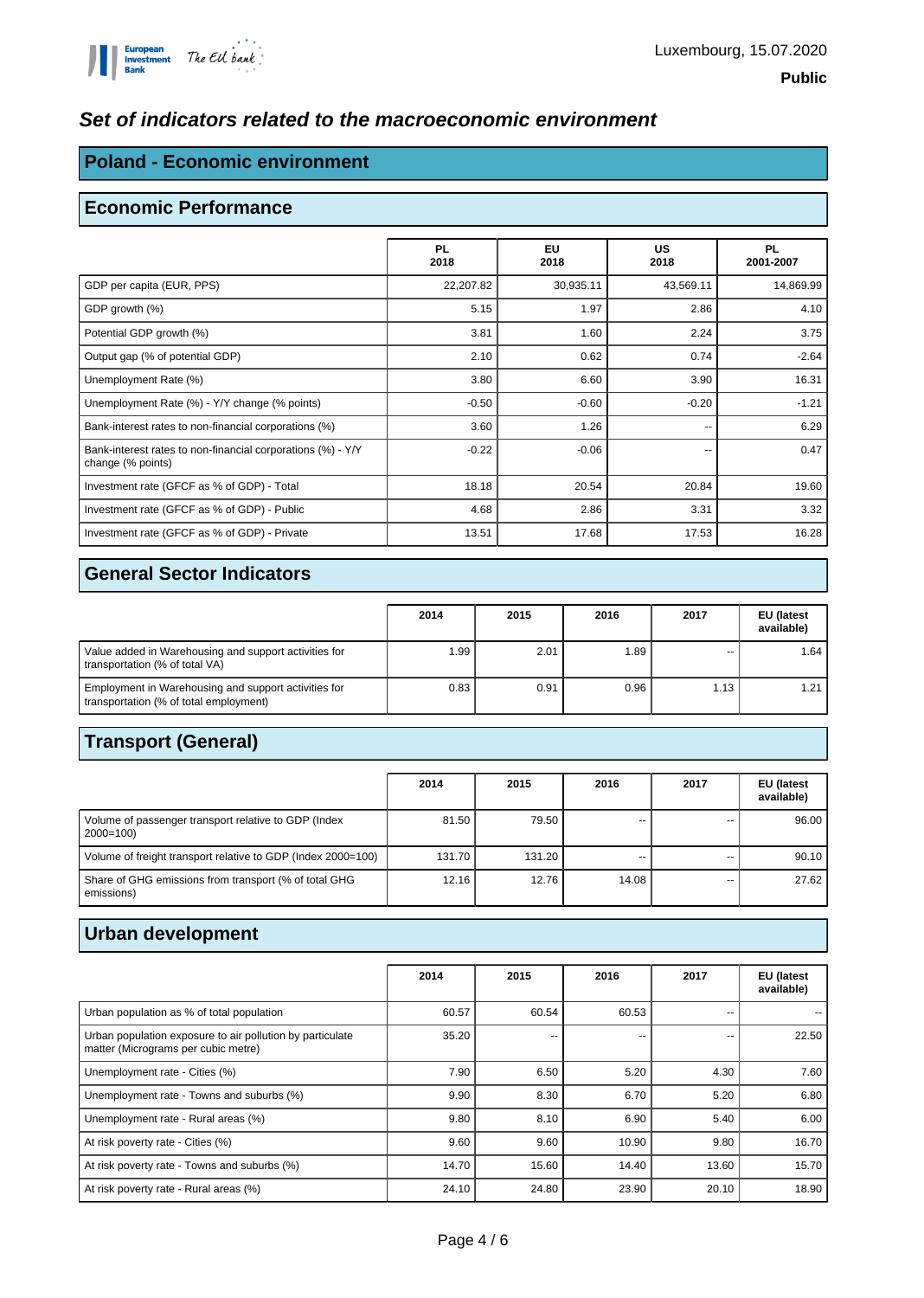#### **Set of indicators related to the macroeconomic environment**

#### **Poland - Economic environment**

#### **Economic Performance**

|                                                                                  | <b>PL</b><br>2018 | <b>EU</b><br>2018 | <b>US</b><br>2018 | <b>PL</b><br>2001-2007 |
|----------------------------------------------------------------------------------|-------------------|-------------------|-------------------|------------------------|
| GDP per capita (EUR, PPS)                                                        | 22,207.82         | 30,935.11         | 43,569.11         | 14,869.99              |
| GDP growth (%)                                                                   | 5.15              | 1.97              | 2.86              | 4.10                   |
| Potential GDP growth (%)                                                         | 3.81              | 1.60              | 2.24              | 3.75                   |
| Output gap (% of potential GDP)                                                  | 2.10              | 0.62              | 0.74              | $-2.64$                |
| Unemployment Rate (%)                                                            | 3.80              | 6.60              | 3.90              | 16.31                  |
| Unemployment Rate (%) - Y/Y change (% points)                                    | $-0.50$           | $-0.60$           | $-0.20$           | $-1.21$                |
| Bank-interest rates to non-financial corporations (%)                            | 3.60              | 1.26              | --                | 6.29                   |
| Bank-interest rates to non-financial corporations (%) - Y/Y<br>change (% points) | $-0.22$           | $-0.06$           | --                | 0.47                   |
| Investment rate (GFCF as % of GDP) - Total                                       | 18.18             | 20.54             | 20.84             | 19.60                  |
| Investment rate (GFCF as % of GDP) - Public                                      | 4.68              | 2.86              | 3.31              | 3.32                   |
| Investment rate (GFCF as % of GDP) - Private                                     | 13.51             | 17.68             | 17.53             | 16.28                  |

## **General Sector Indicators**

|                                                                                                | 2014 | 2015 | 2016 | 2017 | EU (latest<br>available) |
|------------------------------------------------------------------------------------------------|------|------|------|------|--------------------------|
| Value added in Warehousing and support activities for<br>transportation (% of total VA)        | 1.99 | 2.01 | 1.89 | --   | 1.64                     |
| Employment in Warehousing and support activities for<br>transportation (% of total employment) | 0.83 | 0.91 | 0.96 | 1.13 |                          |

## **Transport (General)**

|                                                                     | 2014   | 2015   | 2016  | 2017 | EU (latest<br>available) |
|---------------------------------------------------------------------|--------|--------|-------|------|--------------------------|
| Volume of passenger transport relative to GDP (Index<br>$2000=100$  | 81.50  | 79.50  | --    |      | 96.00                    |
| Volume of freight transport relative to GDP (Index 2000=100)        | 131.70 | 131.20 | --    |      | 90.10                    |
| Share of GHG emissions from transport (% of total GHG<br>emissions) | 12.16  | 12.76  | 14.08 |      | 27.62                    |

# **Urban development**

|                                                                                                  | 2014  | 2015  | 2016  | 2017  | EU (latest<br>available) |
|--------------------------------------------------------------------------------------------------|-------|-------|-------|-------|--------------------------|
| Urban population as % of total population                                                        | 60.57 | 60.54 | 60.53 | --    |                          |
| Urban population exposure to air pollution by particulate<br>matter (Micrograms per cubic metre) | 35.20 |       | --    | --    | 22.50                    |
| Unemployment rate - Cities (%)                                                                   | 7.90  | 6.50  | 5.20  | 4.30  | 7.60                     |
| Unemployment rate - Towns and suburbs (%)                                                        | 9.90  | 8.30  | 6.70  | 5.20  | 6.80                     |
| Unemployment rate - Rural areas (%)                                                              | 9.80  | 8.10  | 6.90  | 5.40  | 6.00                     |
| At risk poverty rate - Cities (%)                                                                | 9.60  | 9.60  | 10.90 | 9.80  | 16.70                    |
| At risk poverty rate - Towns and suburbs (%)                                                     | 14.70 | 15.60 | 14.40 | 13.60 | 15.70                    |
| At risk poverty rate - Rural areas (%)                                                           | 24.10 | 24.80 | 23.90 | 20.10 | 18.90                    |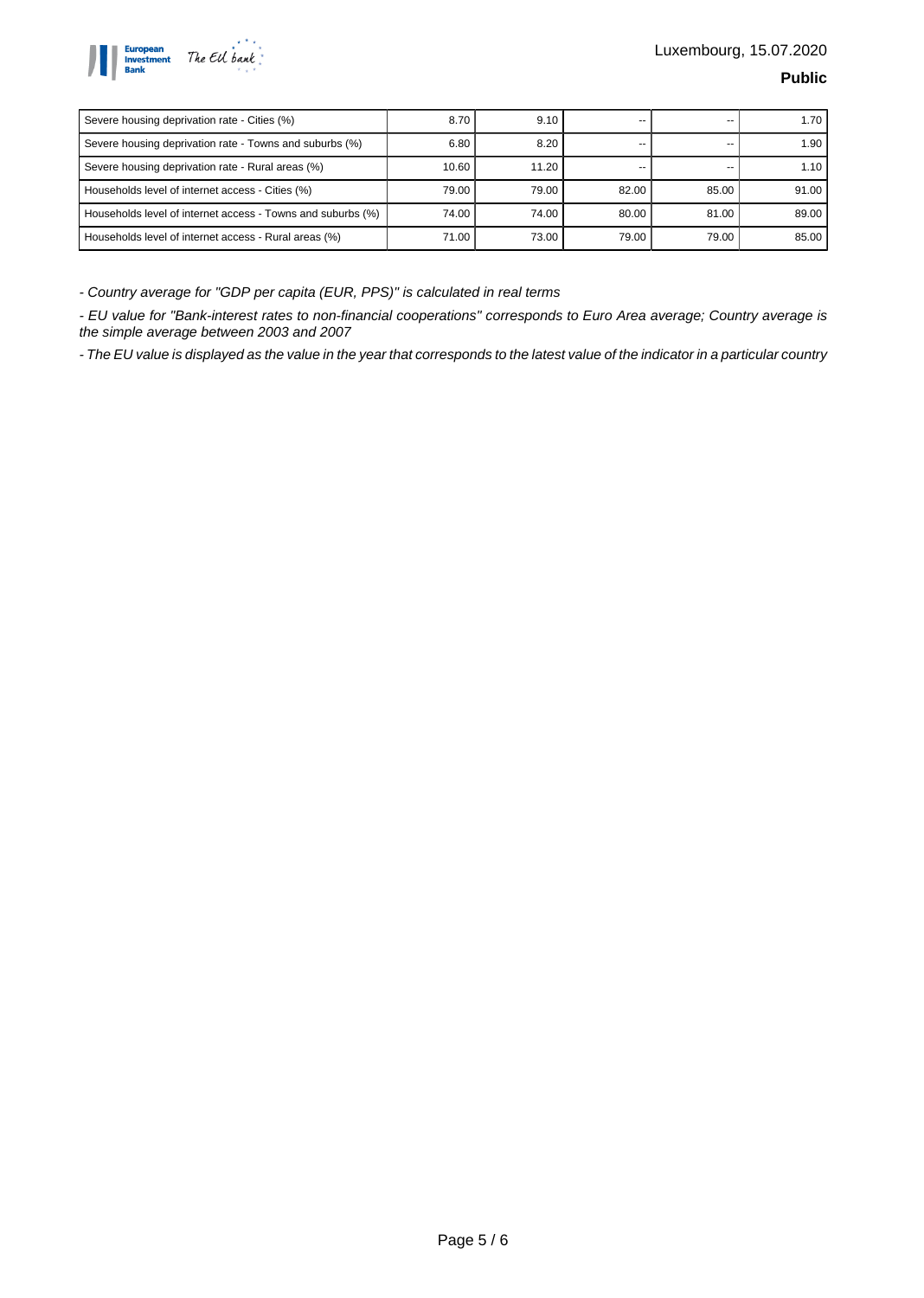

| Severe housing deprivation rate - Cities (%)                | 8.70  | 9.10  | --    |       | 1.70  |
|-------------------------------------------------------------|-------|-------|-------|-------|-------|
| Severe housing deprivation rate - Towns and suburbs (%)     | 6.80  | 8.20  | --    |       | 1.90  |
| Severe housing deprivation rate - Rural areas (%)           | 10.60 | 11.20 | --    |       | 1.10  |
| Households level of internet access - Cities (%)            | 79.00 | 79.00 | 82.00 | 85.00 | 91.00 |
| Households level of internet access - Towns and suburbs (%) | 74.00 | 74.00 | 80.00 | 81.00 | 89.00 |
| Households level of internet access - Rural areas (%)       | 71.00 | 73.00 | 79.00 | 79.00 | 85.00 |

- Country average for "GDP per capita (EUR, PPS)" is calculated in real terms

- EU value for "Bank-interest rates to non-financial cooperations" corresponds to Euro Area average; Country average is the simple average between 2003 and 2007

- The EU value is displayed as the value in the year that corresponds to the latest value of the indicator in a particular country